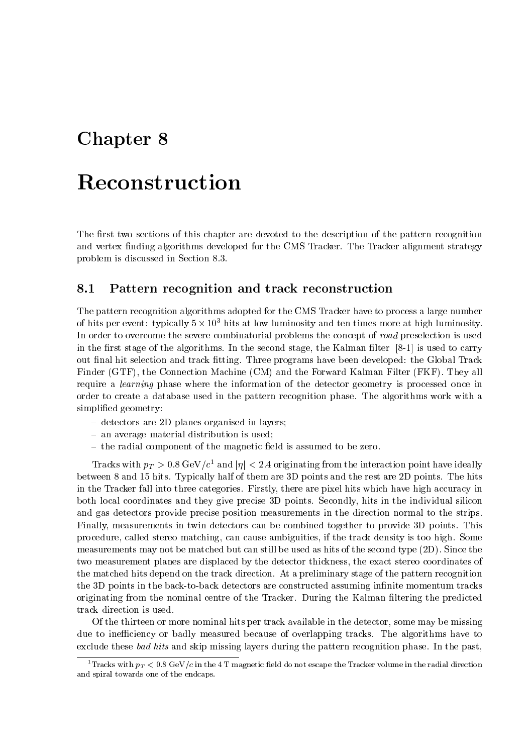# Chapter <sup>8</sup>

The first two sections of this chapter are devoted to the description of the pattern recognition and vertex finding algorithms developed for the CMS Tracker. The Tracker alignment strategy problem is discussed in Section 8.3.

## Pattern recognition and track reconstruction

The pattern recognition algorithms adopted for the CMS Tracker have to process a large number of mus per event: typically  $5 \times 10^{-5}$  mus at low fuminosity and ten times more at high fuminosity. In order to overcome the severe combinatorial problems the concept of road preselection is used in the first stage of the algorithms. In the second stage, the Kalman filter  $[8-1]$  is used to carry out final hit selection and track fitting. Three programs have been developed: the Global Track Finder (GTF), the Connection Machine (CM) and the Forward Kalman Filter (FKF). They all require a learning phase where the information of the detector geometry is processed once in order to create a database used in the pattern recognition phase. The algorithms work with a simplified geometry:

- { detectors are 2D planes organised in layers;
- $=$  an average material distribution is used;
- $-$  the radial component of the magnetic field is assumed to be zero.

Tracks with  $p_T > 0.8$  GeV/c<sup>-</sup> and  $|\eta| < 2.4$  originating from the interaction point have ideally between 8 and 15 hits. Typically half of them are 3D points and the rest are 2D points. The hits in the Tracker fall into three categories. Firstly, there are pixel hits which have high accuracy in both local coordinates and they give precise 3D points. Secondly, hits in the individual silicon and gas detectors provide precise position measurements in the direction normal to the strips. Finally, measurements in twin detectors can be combined together to provide 3D points. This procedure, called stereo matching, can cause ambiguities, if the track density is too high. Some measurements may not be matched but can still be used as hits of the second type (2D). Since the two measurement planes are displaced by the detector thickness, the exact stereo coordinates of the matched hits depend on the track direction. At a preliminary stage of the pattern recognition the 3D points in the back-to-back detectors are constructed assuming infinite momentum tracks originating from the nominal centre of the Tracker. During the Kalman filtering the predicted track direction is used.

Of the thirteen or more nominal hits per track available in the detector, some may be missing due to inefficiency or badly measured because of overlapping tracks. The algorithms have to exclude these bad hits and skip missing layers during the pattern recognition phase. In the past,

<sup>-1</sup>Tacks with  $p_T < 0.8$  GeV/c in the 4-1-magnetic field do not escape the Tracker volume in the radial direction and spiral towards one of the endcaps.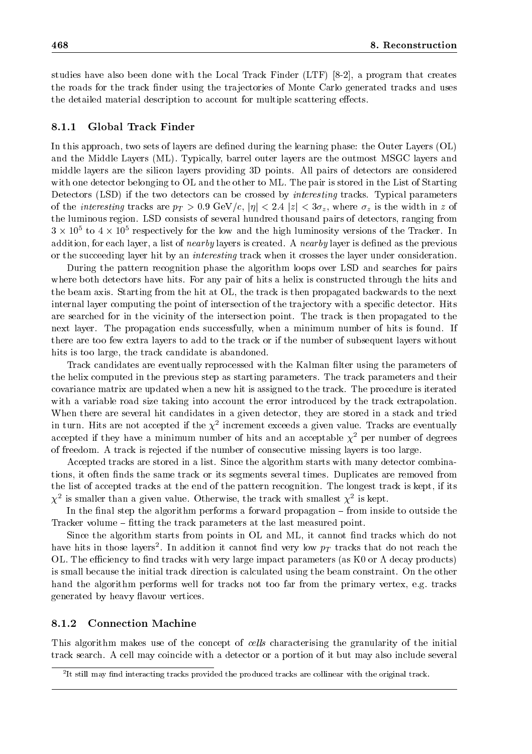studies have also been done with the Local Track Finder (LTF) [8-2], a program that creates the roads for the track finder using the trajectories of Monte Carlo generated tracks and uses the detailed material description to account for multiple scattering effects.

#### 8.1.1Global Track Finder

In this approach, two sets of layers are defined during the learning phase: the Outer Layers  $(OL)$ and the Middle Layers (ML). Typically, barrel outer layers are the outmost MSGC layers and middle layers are the silicon layers providing 3D points. All pairs of detectors are considered with one detector belonging to OL and the other to ML. The pair is stored in the List of Starting Detectors (LSD) if the two detectors can be crossed by *interesting* tracks. Typical parameters of the *interesting* tracks are  $p_T > 0.9$  GeV/c,  $|\eta| < 2.4$   $|z| < 3\sigma_z$ , where  $\sigma_z$  is the width in z of the luminous region. LSD consists of several hundred thousand pairs of detectors, ranging from  $3 \times 10^5$  to 4  $\times$  105 respectively for the low and the high luminosity versions of the Tracker. In  $$ addition, for each layer, a list of *nearby* layers is created. A *nearby* layer is defined as the previous or the succeeding layer hit by an interesting track when it crosses the layer under consideration.

During the pattern recognition phase the algorithm loops over LSD and searches for pairs where both detectors have hits. For any pair of hits a helix is constructed through the hits and the beam axis. Starting from the hit at OL, the track is then propagated backwards to the next internal layer computing the point of intersection of the trajectory with a specific detector. Hits are searched for in the vicinity of the intersection point. The track is then propagated to the next layer. The propagation ends successfully, when a minimum number of hits is found. If there are too few extra layers to add to the track or if the number of subsequent layers without hits is too large, the track candidate is abandoned.

Track candidates are eventually reprocessed with the Kalman filter using the parameters of the helix computed in the previous step as starting parameters. The track parameters and their covariance matrix are updated when a new hit is assigned to the track. The procedure is iterated with a variable road size taking into account the error introduced by the track extrapolation. When there are several hit candidates in a given detector, they are stored in a stack and tried in turn. This are not accepted if the  $\chi^{\pm}$  increment exceeds a given value. Tracks are eventually accepted if they have a minimum number of hits and an acceptable  $\chi^2$  per number of degrees of freedom. A track is rejected if the number of consecutive missing layers is too large.

Accepted tracks are stored in a list. Since the algorithm starts with many detector combinations, it often finds the same track or its segments several times. Duplicates are removed from the list of accepted tracks at the end of the pattern recognition. The longest track is kept, if its  $\chi$  is smaller than a given value. Otherwise, the track with smallest  $\chi$  is kept.

In the final step the algorithm performs a forward propagation  $-$  from inside to outside the Tracker volume – fitting the track parameters at the last measured point.

Since the algorithm starts from points in OL and ML, it cannot find tracks which do not have hits in those layers . In addition it cannot lind very low  $p_T$  tracks that do not reach the  $\,$ OL. The efficiency to find tracks with very large impact parameters (as  $K0$  or  $\Lambda$  decay products) is small because the initial track direction is calculated using the beam constraint. On the other hand the algorithm performs well for tracks not too far from the primary vertex, e.g. tracks generated by heavy 
avour vertices.

#### 8.1.2Connection Machine

This algorithm makes use of the concept of cells characterising the granularity of the initial track search. A cell may coincide with a detector or a portion of it but may also include several

<sup>2</sup> It still may nd interacting tracks provided the produced tracks are collinear with the original track.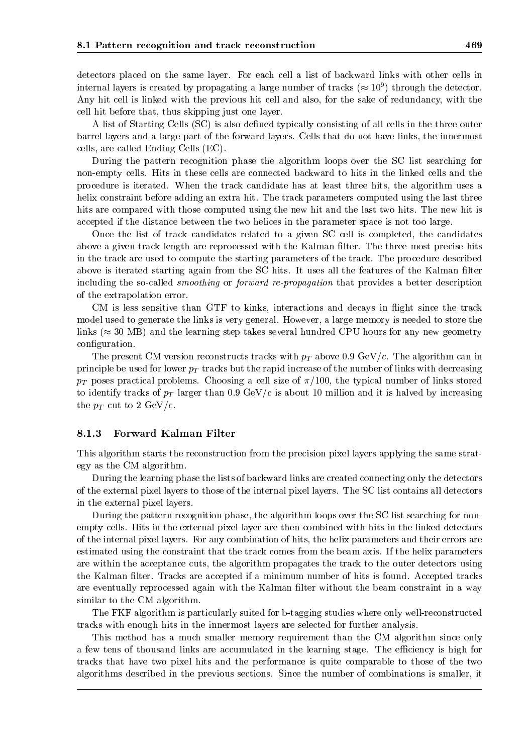detectors placed on the same layer. For each cell a list of backward links with other cells in internal layers is created by propagating a large number of tracks ( $\approx$  10 ) through the detector. Any hit cell is linked with the previous hit cell and also, for the sake of redundancy, with the cell hit before that, thus skipping just one layer.

A list of Starting Cells (SC) is also dened typically consisting of all cells in the three outer barrel layers and a large part of the forward layers. Cells that do not have links, the innermost cells, are called Ending Cells (EC).

During the pattern recognition phase the algorithm loops over the SC list searching for non-empty cells. Hits in these cells are connected backward to hits in the linked cells and the procedure is iterated. When the track candidate has at least three hits, the algorithm uses a helix constraint before adding an extra hit. The track parameters computed using the last three hits are compared with those computed using the new hit and the last two hits. The new hit is accepted if the distance between the two helices in the parameter space is not too large.

Once the list of track candidates related to a given SC cell is completed, the candidates above a given track length are reprocessed with the Kalman filter. The three most precise hits in the track are used to compute the starting parameters of the track. The procedure described above is iterated starting again from the SC hits. It uses all the features of the Kalman filter including the so-called smoothing or forward re-propagation that provides a better description of the extrapolation error.

CM is less sensitive than GTF to kinks, interactions and decays in flight since the track model used to generate the links is very general. However, a large memory is needed to store the links ( $\approx$  30 MB) and the learning step takes several hundred CPU hours for any new geometry configuration.

The present CM version reconstructs tracks with  $p<sub>T</sub>$  above 0.9 GeV/c. The algorithm can in principle be used for lower  $p_T$  tracks but the rapid increase of the number of links with decreasing  $p_T$  poses practical problems. Choosing a cell size of  $\pi/100$ , the typical number of links stored to identify tracks of  $p_T$  larger than 0.9 GeV/c is about 10 million and it is halved by increasing the  $p_T$  cut to 2 GeV/c.

#### 8.1.3Forward Kalman Filter

This algorithm starts the reconstruction from the precision pixel layers applying the same strategy as the CM algorithm.

During the learning phase the lists of backward links are created connecting only the detectors of the external pixel layers to those of the internal pixel layers. The SC list contains all detectors in the external pixel layers.

During the pattern recognition phase, the algorithm loops over the SC list searching for nonempty cells. Hits in the external pixel layer are then combined with hits in the linked detectors of the internal pixel layers. For any combination of hits, the helix parameters and their errors are estimated using the constraint that the track comes from the beam axis. If the helix parameters are within the acceptance cuts, the algorithm propagates the track to the outer detectors using the Kalman filter. Tracks are accepted if a minimum number of hits is found. Accepted tracks are eventually reprocessed again with the Kalman filter without the beam constraint in a way similar to the CM algorithm.

The FKF algorithm is particularly suited for b-tagging studies where only well-reconstructed tracks with enough hits in the innermost layers are selected for further analysis.

This method has a much smaller memory requirement than the CM algorithm since only a few tens of thousand links are accumulated in the learning stage. The efficiency is high for tracks that have two pixel hits and the performance is quite comparable to those of the two algorithms described in the previous sections. Since the number of combinations is smaller, it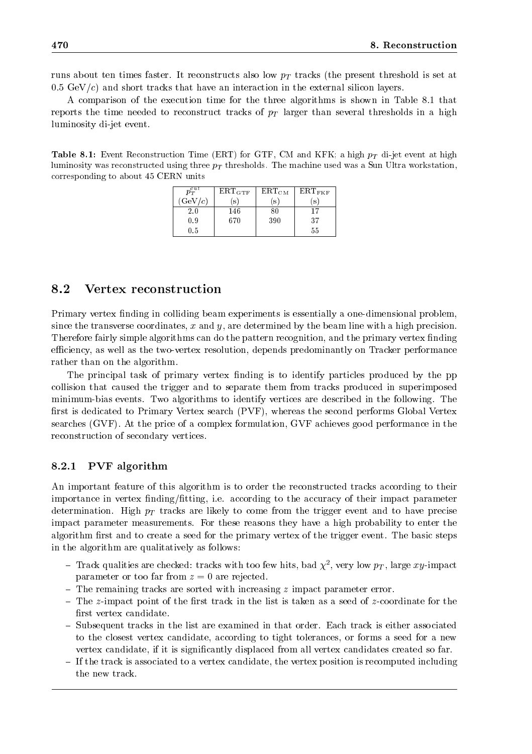runs about ten times faster. It reconstructs also low  $p<sub>T</sub>$  tracks (the present threshold is set at  $0.5 \text{ GeV}/c$  and short tracks that have an interaction in the external silicon layers.

A comparison of the execution time for the three algorithms is shown in Table 8.1 that reports the time needed to reconstruct tracks of  $p<sub>T</sub>$  larger than several thresholds in a high luminosity di-jet event.

**Table 8.1:** Event Reconstruction Time (ERT) for GTF, CM and KFK, a high  $p_T$  di-jet event at high ruminosity was reconstructed using three  $p_T$  thresholds. The machine used was a Sun Ultra workstation, corresponding to about 45 CERN units

| $p_T^{cut}$ | $\rm ERT_{GTF}$ | $\operatorname{ERT_{CM}}$ | $\mathrm{ERT}_{\mathrm{FKF}}$ |
|-------------|-----------------|---------------------------|-------------------------------|
| GeV/c       | s               | S                         | S                             |
| $2.0\,$     | 146             |                           | 17                            |
| 0.9         | 670             | 390                       | 37                            |
| $0.5\,$     |                 |                           | 55                            |

### 8.2Vertex reconstruction

Primary vertex finding in colliding beam experiments is essentially a one-dimensional problem, since the transverse coordinates, x and y, are determined by the beam line with a high precision. Therefore fairly simple algorithms can do the pattern recognition, and the primary vertex finding efficiency, as well as the two-vertex resolution, depends predominantly on Tracker performance rather than on the algorithm.

The principal task of primary vertex finding is to identify particles produced by the pp collision that caused the trigger and to separate them from tracks produced in superimposed minimum-bias events. Two algorithms to identify vertices are described in the following. The first is dedicated to Primary Vertex search (PVF), whereas the second performs Global Vertex searches (GVF). At the price of a complex formulation, GVF achieves good performance in the reconstruction of secondary vertices.

#### 8.2.1PVF algorithm

An important feature of this algorithm is to order the reconstructed tracks according to their importance in vertex finding/fitting, i.e. according to the accuracy of their impact parameter determination. High  $p_T$  tracks are likely to come from the trigger event and to have precise impact parameter measurements. For these reasons they have a high probability to enter the algorithm first and to create a seed for the primary vertex of the trigger event. The basic steps in the algorithm are qualitatively as follows:

- $-$  track qualities are checked: tracks with too few hits, bad  $\chi$  , very low  $p_T$ , large  $xy$ -impact parameter or too far from  $z = 0$  are rejected.
- $=$  The remaining tracks are sorted with increasing  $z$  impact parameter error.
- $-$  The z-impact point of the first track in the list is taken as a seed of z-coordinate for the first vertex candidate.
- { Subsequent tracks in the list are examined in that order. Each track is either associated to the closest vertex candidate, according to tight tolerances, or forms a seed for a new vertex candidate, if it is signicantly displaced from all vertex candidates created so far.
- { If the track is associated to a vertex candidate, the vertex position is recomputed including the new track.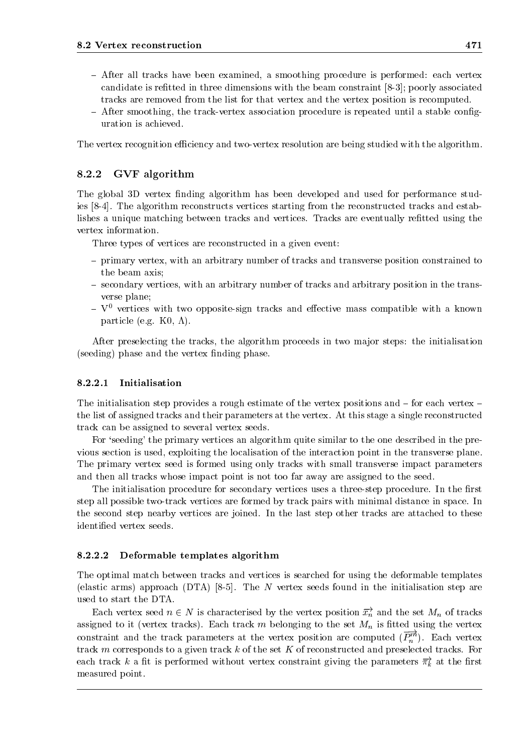- $-$  After all tracks have been examined, a smoothing procedure is performed: each vertex candidate is retted in three dimensions with the beam constraint [8-3]; poorly associated tracks are removed from the list for that vertex and the vertex position is recomputed.
- $-$  After smoothing, the track-vertex association procedure is repeated until a stable configuration is achieved.

The vertex recognition efficiency and two-vertex resolution are being studied with the algorithm.

#### 8.2.2GVF algorithm

The global 3D vertex finding algorithm has been developed and used for performance studies [8-4]. The algorithm reconstructs vertices starting from the reconstructed tracks and establishes a unique matching between tracks and vertices. Tracks are eventually refitted using the vertex information.

Three types of vertices are reconstructed in a given event:

- { primary vertex, with an arbitrary number of tracks and transverse position constrained to the beam axis;
- { secondary vertices, with an arbitrary number of tracks and arbitrary position in the transverse plane;
- ${\bf V}^0$  vertices with two opposite-sign tracks and effective mass compatible with a known particle (e.g. K0,  $\Lambda$ ).

After preselecting the tracks, the algorithm proceeds in two major steps: the initialisation (seeding) phase and the vertex finding phase.

#### 8.2.2.1Initialisation

The initialisation step provides a rough estimate of the vertex positions and  $-$  for each vertex  $$ the list of assigned tracks and their parameters at the vertex. At this stage a single reconstructed track can be assigned to several vertex seeds.

For 'seeding' the primary vertices an algorithm quite similar to the one described in the previous section is used, exploiting the localisation of the interaction point in the transverse plane. The primary vertex seed is formed using only tracks with small transverse impact parameters and then all tracks whose impact point is not too far away are assigned to the seed.

The initialisation procedure for secondary vertices uses a three-step procedure. In the first step all possible two-track vertices are formed by track pairs with minimal distance in space. In the second step nearby vertices are joined. In the last step other tracks are attached to these identied vertex seeds.

#### 8.2.2.2Deformable templates algorithm

The optimal match between tracks and vertices is searched for using the deformable templates (elastic arms) approach  $(DTA)$  [8-5]. The N vertex seeds found in the initialisation step are used to start the DTA.

Each vertex seed  $n \in N$  is characterised by the vertex position  $\overrightarrow{x_n}$  and the set  $M_n$  of tracks assigned to it (vertex tracks). Each track m belonging to the set  $M_n$  is fitted using the vertex constraint and the track parameters at the vertex position are computed  $(P_n^m)$ . Each vertex track  $m$  corresponds to a given track  $k$  of the set  $K$  of reconstructed and preselected tracks. For each track  $\kappa$  a nt is periormed without vertex constraint giving the parameters  $\pi_k$  at the hrst measured point.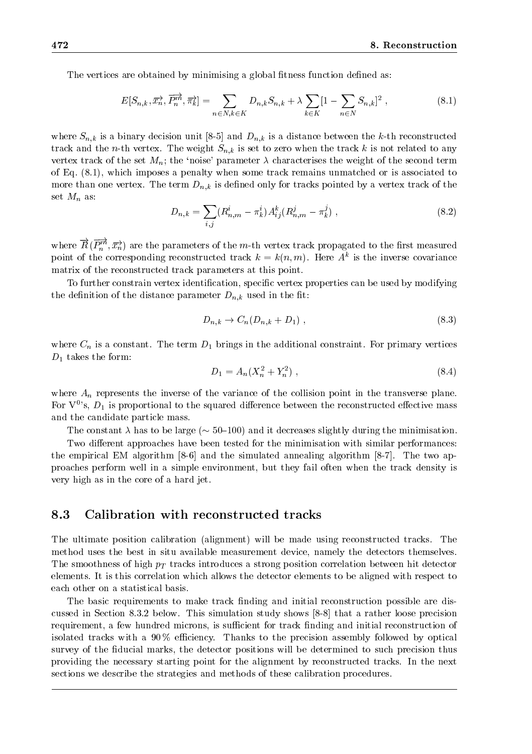The vertices are obtained by minimising a global fitness function defined as:

$$
E[S_{n,k}, \overrightarrow{x_n}, \overrightarrow{P_n^m}, \overrightarrow{\pi_k}] = \sum_{n \in N, k \in K} D_{n,k} S_{n,k} + \lambda \sum_{k \in K} [1 - \sum_{n \in N} S_{n,k}]^2 ,
$$
 (8.1)

where  $S_{n,k}$  is a binary decision unit [8-5] and  $D_{n,k}$  is a distance between the k-th reconstructed track and the n-th vertex. The weight  $S_{n,k}$  is set to zero when the track k is not related to any vertex track of the set  $M_n$ ; the 'noise' parameter  $\lambda$  characterises the weight of the second term of Eq. (8.1), which imposes a penalty when some track remains unmatched or is associated to more than one vertex. The term  $D_{n,k}$  is defined only for tracks pointed by a vertex track of the set  $M_n$  as:

$$
D_{n,k} = \sum_{i,j} (R_{n,m}^i - \pi_k^i) A_{ij}^k (R_{n,m}^j - \pi_k^j) , \qquad (8.2)
$$

where  $R(P_n^m,\overline{x_n})$  are the parameters of the m-th vertex track propagated to the first measured point of the corresponding reconstructed track  $\kappa = \kappa(n, m)$ . Here  $A^+$  is the inverse covariance matrix of the reconstructed track parameters at this point.

To further constrain vertex identication, specic vertex properties can be used by modifying the definition of the distance parameter  $D_{n,k}$  used in the fit:

$$
D_{n,k} \to C_n(D_{n,k} + D_1) \tag{8.3}
$$

where  $C_n$  is a constant. The term  $D_1$  brings in the additional constraint. For primary vertices  $D_1$  takes the form:

$$
D_1 = A_n (X_n^2 + Y_n^2) \tag{8.4}
$$

where  $A_n$  represents the inverse of the variance of the collision point in the transverse plane. For  $V^{0}$ 's,  $D_1$  is proportional to the squared difference between the reconstructed effective mass and the candidate particle mass.

The constant  $\lambda$  has to be large ( $\sim$  50-100) and it decreases slightly during the minimisation.

Two different approaches have been tested for the minimisation with similar performances: the empirical EM algorithm [8-6] and the simulated annealing algorithm [8-7]. The two approaches perform well in a simple environment, but they failoften when the track density is very high as in the core of a hard jet.

#### 8.3Calibration with reconstructed tracks

The ultimate position calibration (alignment) will be made using reconstructed tracks. The method uses the best in situ available measurement device, namely the detectors themselves. The smoothness of high  $p_T$  tracks introduces a strong position correlation between hit detector elements. It is this correlation which allows the detector elements to be aligned with respect to each other on a statistical basis.

The basic requirements to make track finding and initial reconstruction possible are discussed in Section 8.3.2 below. This simulation study shows [8-8] that a rather loose precision requirement, a few hundred microns, is sufficient for track finding and initial reconstruction of isolated tracks with a 90% efficiency. Thanks to the precision assembly followed by optical survey of the fiducial marks, the detector positions will be determined to such precision thus providing the necessary starting point for the alignment by reconstructed tracks. In the next sections we describe the strategies and methods of these calibration procedures.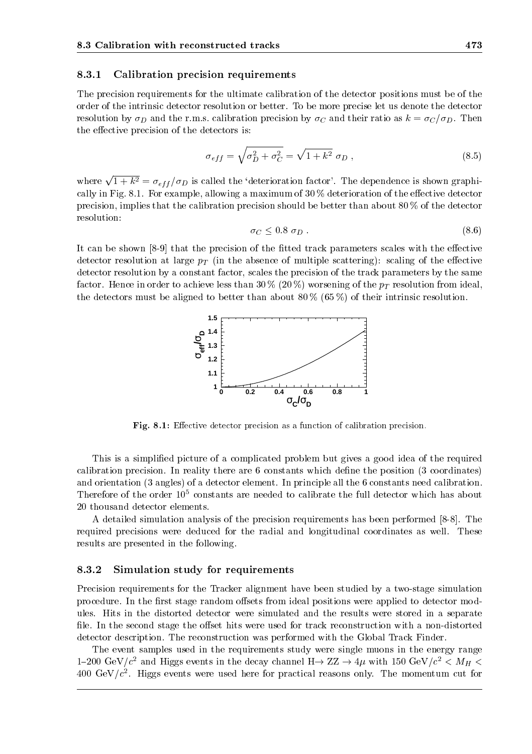#### 8.3.1Calibration precision requirements

The precision requirements for the ultimate calibration of the detector positions must be of the order of the intrinsic detector resolution or better. To be more precise let us denote the detector resolution by  $\sigma_D$  and the r.m.s. calibration precision by  $\sigma_C$  and their ratio as  $k = \frac{\sigma_C}{\sigma_D}$ . Then the effective precision of the detectors is:

$$
\sigma_{eff} = \sqrt{\sigma_D^2 + \sigma_C^2} = \sqrt{1 + k^2} \sigma_D , \qquad (8.5)
$$

where  $\sqrt{1 + k^2} = \sigma_{eff}/\sigma_D$  is called the 'deterioration factor'. The dependence is shown graphically in Fig. 8.1. For example, allowing a maximum of  $30\%$  deterioration of the effective detector precision, implies that the calibration precision should be better than about 80 % of the detector resolution:

$$
\sigma_C \leq 0.8 \, \sigma_D \,. \tag{8.6}
$$

It can be shown  $[8-9]$  that the precision of the fitted track parameters scales with the effective detector resolution at large  $p_T$  (in the absence of multiple scattering): scaling of the effective detector resolution by a constant factor, scales the precision of the track parameters by the same factor. Hence in order to achieve less than 30 % (20 %) worsening of the  $p_T$  resolution from ideal, the detectors must be aligned to better than about 80  $\%$  (65  $\%$ ) of their intrinsic resolution.



 ${\bf r}$  ig.  ${\bf s}.$  . Enective detector precision as a function of calibration precision.

This is a simplied picture of a complicated problem but gives a good idea of the required calibration precision. In reality there are 6 constants which dene the position (3 coordinates) and orientation (3 angles) of a detector element. In principle all the 6 constants need calibration. Therefore of the order  $10^5$  constants are needed to calibrate the full detector which has about 20 thousand detector elements.

A detailed simulation analysis of the precision requirements has been performed [8-8]. The required precisions were deduced for the radial and longitudinal coordinates as well. These results are presented in the following.

#### 8.3.2Simulation study for requirements

Precision requirements for the Tracker alignment have been studied by a two-stage simulation procedure. In the first stage random offsets from ideal positions were applied to detector modules. Hits in the distorted detector were simulated and the results were stored in a separate file. In the second stage the offset hits were used for track reconstruction with a non-distorted detector description. The reconstruction was performed with the Global Track Finder.

The event samples used in the requirements study were single muons in the energy range 1-200 GeV/c and Higgs events in the decay channel  $n \rightarrow \Sigma L \rightarrow 4 \mu$  with 150 GeV/c  $< M_H <$  $400\,\, \mathrm{GeV}/\mathit{c}^{\text{-}}.$  Higgs events were used here for practical reasons only. The momentum cut for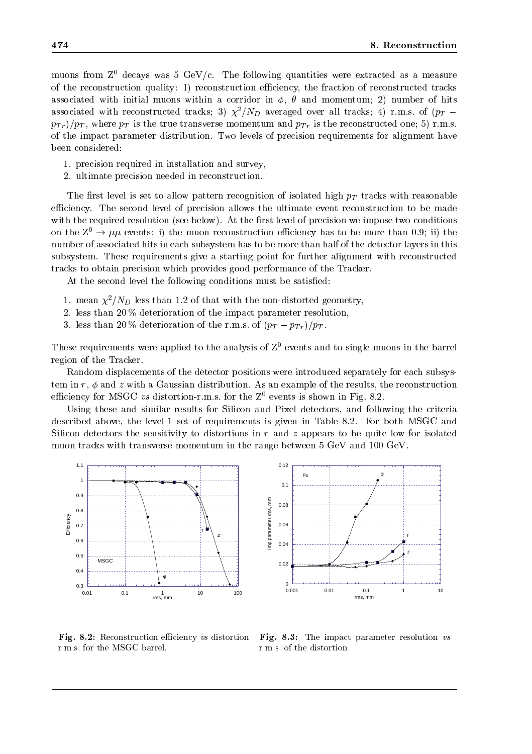muons from  $Z^0$  decays was 5 GeV/c. The following quantities were extracted as a measure of the reconstruction quality: 1) reconstruction efficiency, the fraction of reconstructed tracks associated with initial muons within a corridor in  $\phi$ ,  $\theta$  and momentum; 2) number of hits associated with reconstructed tracks; 3)  $\chi^2/N_D$  averaged over all tracks; 4) r.m.s. of (p<sub>T</sub> –  $p_{Tr}/p_T$ , where  $p_T$  is the true transverse momentum and  $p_{Tr}$  is the reconstructed one; 5) r.m.s. of the impact parameter distribution. Two levels of precision requirements for alignment have been considered:

- 1. precision required in installation and survey,
- 2. ultimate precision needed in reconstruction.

The first level is set to allow pattern recognition of isolated high  $p_T$  tracks with reasonable efficiency. The second level of precision allows the ultimate event reconstruction to be made with the required resolution (see below). At the first level of precision we impose two conditions on the  $Z^0 \to \mu\mu$  events: i) the muon reconstruction efficiency has to be more than 0.9; ii) the number of associated hits in each subsystem has to be more than half of the detector layers in this subsystem. These requirements give a starting point for further alignment with reconstructed tracks to obtain precision which provides good performance of the Tracker.

At the second level the following conditions must be satisfied:

- 1. mean  $\chi^2/N_D$  less than 1.2 of that with the non-distorted geometry,
- 2. less than 20 % deterioration of the impact parameter resolution,
- 3. less than 20 % deterioration of the r.m.s. of  $(p_T p_{Tr})/p_T$ .

These requirements were applied to the analysis of  $Z^0$  events and to single muons in the barrel region of the Tracker.

Random displacements of the detector positions were introduced separately for each subsystem in r,  $\phi$  and z with a Gaussian distribution. As an example of the results, the reconstruction efficiency for MSGC vs distortion-r.m.s. for the  $Z^0$  events is shown in Fig. 8.2.

Using these and similar results for Silicon and Pixel detectors, and following the criteria described above, the level-1 set of requirements is given in Table 8.2. For both MSGC and Silicon detectors the sensitivity to distortions in  $r$  and  $z$  appears to be quite low for isolated muon tracks with transverse momentum in the range between 5 GeV and 100 GeV.



 $\mathbf{r}$  is  $\mathbf{s}$ . Reconstruction emerging vs distortion  $\mathbf{r}$  is a r.m.s. for the MSGC barrel.

Fig. 8.3: The impact parameter resolution vs r.m.s. of the distortion.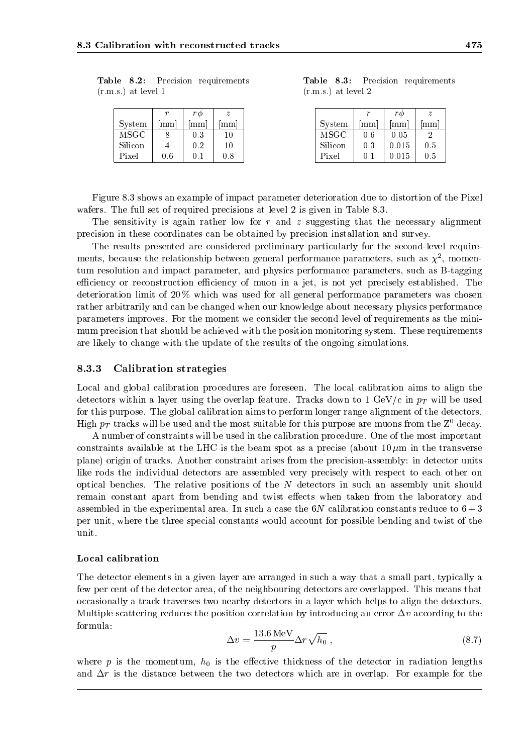|                       |  | Table 8.2: Precision requirements |  |
|-----------------------|--|-----------------------------------|--|
| $(r.m.s.)$ at level 1 |  |                                   |  |

|         |     | rφ  |     |  |
|---------|-----|-----|-----|--|
| System  | mm  | mm  | mm  |  |
| MSGC    |     | 0.3 |     |  |
| Silicon |     | 0.2 | 10  |  |
| Pixel   | Ո հ |     | 0.8 |  |

Table 8.3: Precision requirements  $(1.111.5.)$  at level  $\Delta$ 

|         |        | rФ              | z                |
|---------|--------|-----------------|------------------|
| System  | mm     | mm <sup>-</sup> | $1\mathrm{mm}^+$ |
| MSGC    | 0.6    | 0.05            |                  |
| Silicon | 0.3    | 0.015           | 0.5              |
| Pixel   | (1, 1) | 0.015           | 0.5              |

Figure 8.3 shows an example of impact parameter deterioration due to distortion of the Pixel wafers. The full set of required precisions at level 2 is given in Table 8.3.

The sensitivity is again rather low for  $r$  and  $z$  suggesting that the necessary alignment precision in these coordinates can be obtained by precision installation and survey.

The results presented are considered preliminary particularly for the second-level requirements, because the relationship between general performance parameters, such as  $\chi$ , momentum resolution and impact parameter, and physics performance parameters, such as B-tagging efficiency or reconstruction efficiency of muon in a jet, is not yet precisely established. The deterioration limit of 20 % which was used for all general performance parameters was chosen rather arbitrarily and can be changed when our knowledge about necessary physics performance parameters improves. For the moment we consider the second level of requirements as the minimum precision that should be achieved with the position monitoring system. These requirements are likely to change with the update of the results of the ongoing simulations.

#### 8.3.3Calibration strategies

Local and global calibration procedures are foreseen. The local calibration aims to align the detectors within a layer using the overlap feature. Tracks down to 1 GeV/c in  $p_T$  will be used for this purpose. The global calibration aims to perform longer range alignment of the detectors. High  $p_T$  tracks will be used and the most suitable for this purpose are muons from the  $Z^0$  decay.

A number of constraints will be used in the calibration procedure. One of the most important constraints available at the LHC is the beam spot as a precise (about  $10 \,\mu \mathrm{m}$  in the transverse plane) origin of tracks. Another constraint arises from the precision-assembly: in detector units like rods the individual detectors are assembled very precisely with respect to each other on optical benches. The relative positions of the N detectors in such an assembly unit should remain constant apart from bending and twist effects when taken from the laboratory and assembled in the experimental area. In such a case the  $6N$  calibration constants reduce to  $6 + 3$ per unit, where the three special constants would account for possible bending and twist of the unit.

## Local calibration

The detector elements in a given layer are arranged in suchaway that a small part, typically a few per cent of the detector area, of the neighbouring detectors are overlapped. This means that occasionally a track traverses two nearby detectors in a layer which helps to align the detectors. Multiple scattering reduces the position correlation by introducing an error  $\Delta v$  according to the formula:

$$
\Delta v = \frac{13.6 \,\text{MeV}}{p} \Delta r \sqrt{h_0} \,,\tag{8.7}
$$

where p is the momentum,  $h_0$  is the effective thickness of the detector in radiation lengths and  $\Delta r$  is the distance between the two detectors which are in overlap. For example for the